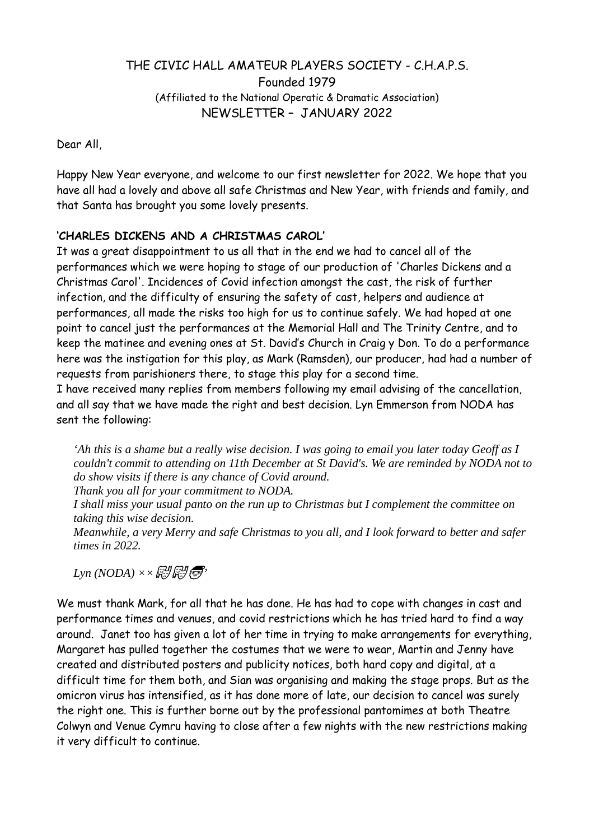# THE CIVIC HALL AMATEUR PLAYERS SOCIETY - C.H.A.P.S. Founded 1979 (Affiliated to the National Operatic & Dramatic Association) NEWSLETTER – JANUARY 2022

Dear All,

Happy New Year everyone, and welcome to our first newsletter for 2022. We hope that you have all had a lovely and above all safe Christmas and New Year, with friends and family, and that Santa has brought you some lovely presents.

## 'CHARLES DICKENS AND A CHRISTMAS CAROL·

It was a great disappointment to us all that in the end we had to cancel all of the performances which we were hoping to stage of our production of 'Charles Dickens and a Christmas Carol'. Incidences of Covid infection amongst the cast, the risk of further infection, and the difficulty of ensuring the safety of cast, helpers and audience at performances, all made the risks too high for us to continue safely. We had hoped at one point to cancel just the performances at the Memorial Hall and The Trinity Centre, and to keep the matinee and evening ones at St. David·s Church in Craig y Don. To do a performance here was the instigation for this play, as Mark (Ramsden), our producer, had had a number of requests from parishioners there, to stage this play for a second time.

I have received many replies from members following my email advising of the cancellation, and all say that we have made the right and best decision. Lyn Emmerson from NODA has sent the following:

'Ah this is a shame but a really wise decision. I was going to email you later today Geoff as I couldn't commit to attending on 11th December at St David's. We are reminded by NODA not to do show visits if there is any chance of Covid around.

Thank you all for your commitment to NODA.

I shall miss your usual panto on the run up to Christmas but I complement the committee on taking this wise decision.

Meanwhile, a very Merry and safe Christmas to you all, and I look forward to better and safer times in 2022.

 $Lyn (NODA) \times \mathbb{R}$   $\mathbb{R}$   $\mathbb{R}$ 

We must thank Mark, for all that he has done. He has had to cope with changes in cast and performance times and venues, and covid restrictions which he has tried hard to find a way around. Janet too has given a lot of her time in trying to make arrangements for everything, Margaret has pulled together the costumes that we were to wear, Martin and Jenny have created and distributed posters and publicity notices, both hard copy and digital, at a difficult time for them both, and Sian was organising and making the stage props. But as the omicron virus has intensified, as it has done more of late, our decision to cancel was surely the right one. This is further borne out by the professional pantomimes at both Theatre Colwyn and Venue Cymru having to close after a few nights with the new restrictions making it very difficult to continue.